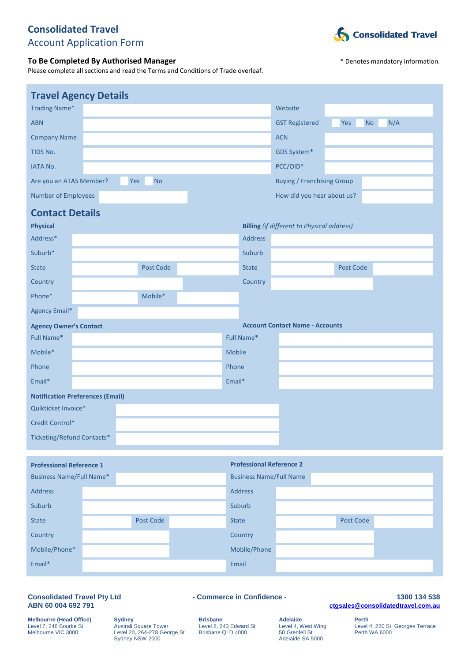## **Consolidated Travel** Account Application Form

### **To Be Completed By Authorised Manager Manager**  $*$  Denotes mandatory information.

Please complete all sections and read the Terms and Conditions of Trade overleaf.



| <b>Travel Agency Details</b>            |                  |        |                                 |                                                   |                  |     |
|-----------------------------------------|------------------|--------|---------------------------------|---------------------------------------------------|------------------|-----|
| <b>Trading Name*</b>                    |                  |        |                                 | Website                                           |                  |     |
| <b>ABN</b>                              |                  |        |                                 | <b>GST Registered</b>                             | Yes<br><b>No</b> | N/A |
| <b>Company Name</b>                     |                  |        |                                 | <b>ACN</b>                                        |                  |     |
| TIDS No.                                |                  |        |                                 | GDS System*                                       |                  |     |
| <b>IATA No.</b>                         |                  |        |                                 | PCC/OID*                                          |                  |     |
| Are you an ATAS Member?                 | <b>No</b><br>Yes |        |                                 | <b>Buying / Franchising Group</b>                 |                  |     |
| <b>Number of Employees</b>              |                  |        |                                 | How did you hear about us?                        |                  |     |
| <b>Contact Details</b>                  |                  |        |                                 |                                                   |                  |     |
| <b>Physical</b>                         |                  |        |                                 | <b>Billing</b> (if different to Physical address) |                  |     |
| Address*                                |                  |        | <b>Address</b>                  |                                                   |                  |     |
| Suburb*                                 |                  |        | Suburb                          |                                                   |                  |     |
| <b>State</b>                            | Post Code        |        | <b>State</b>                    |                                                   | Post Code        |     |
| Country                                 |                  |        | Country                         |                                                   |                  |     |
| Phone*                                  | Mobile*          |        |                                 |                                                   |                  |     |
| Agency Email*                           |                  |        |                                 |                                                   |                  |     |
| <b>Agency Owner's Contact</b>           |                  |        |                                 | <b>Account Contact Name - Accounts</b>            |                  |     |
| Full Name*                              |                  |        | Full Name*                      |                                                   |                  |     |
| Mobile*                                 |                  | Mobile |                                 |                                                   |                  |     |
| Phone                                   |                  | Phone  |                                 |                                                   |                  |     |
| Email*                                  |                  | Email* |                                 |                                                   |                  |     |
| <b>Notification Preferences (Email)</b> |                  |        |                                 |                                                   |                  |     |
| Quikticket Invoice*                     |                  |        |                                 |                                                   |                  |     |
| Credit Control*                         |                  |        |                                 |                                                   |                  |     |
| Ticketing/Refund Contacts*              |                  |        |                                 |                                                   |                  |     |
|                                         |                  |        |                                 |                                                   |                  |     |
| <b>Professional Reference 1</b>         |                  |        | <b>Professional Reference 2</b> |                                                   |                  |     |
| <b>Business Name/Full Name*</b>         |                  |        | <b>Business Name/Full Name</b>  |                                                   |                  |     |
| Address                                 |                  |        | Address                         |                                                   |                  |     |
| Suburb                                  |                  |        | Suburb                          |                                                   |                  |     |

| Suburb        |           | Suburb       |           |  |
|---------------|-----------|--------------|-----------|--|
| <b>State</b>  | Post Code | <b>State</b> | Post Code |  |
| Country       |           | Country      |           |  |
| Mobile/Phone* |           | Mobile/Phone |           |  |
| Email*        |           | Email        |           |  |
|               |           |              |           |  |

# ABN 60 004 692 791

**Consolidated Travel Pty Ltd - Commerce in Confidence - 1300 134 538 ABN 60 004 692 791 [ctgsales@consolidatedtravel.com.au](mailto:ctgsales@consolidatedtravel.com.au)**

**Melbourne (Head Office) Sydney Brisbane Adelaide Perth<br>
Level 7, 246 Bourke St Australi Square Tower Level 8, 243 Edward St Level 4, West Wing Level Melbourne VIC 3000 Level 20, 264-278 George St Brisbane QLD 4000 50 Gren** Melbourne VIC 3000 Level 20, 264-278 George St Brisbane QLD 4000 50 Grenfell St Perth WA 6000 Sydney NSW 2000 **Adelaide SA 5000** Adelaide SA 5000

Level 4, 220 St. Georges Terrace<br>Perth WA 6000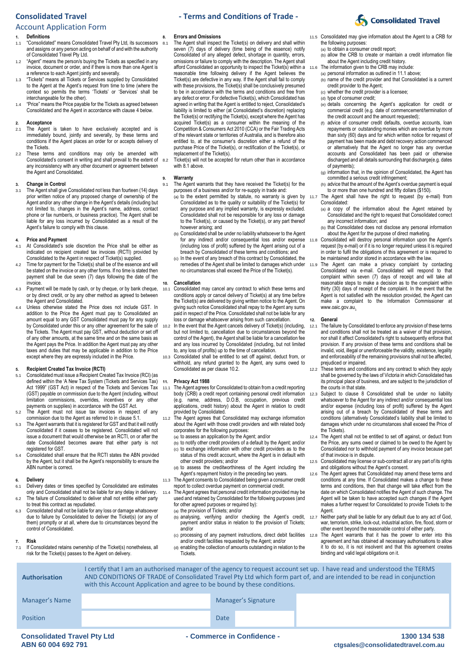### Account Application Form

### **1. Definitions**

- 1.1 "Consolidated" means Consolidated Travel Pty Ltd, its successors and assigns or any person acting on behalf of and with the authority of Consolidated Travel Pty Ltd.
- 1.2 "Agent" means the person/s buying the Tickets as specified in any invoice, document or order, and if there is more than one Agent is a reference to each Agent jointly and severally.
- 1.3 "Tickets" means all Tickets or Services supplied by Consolidated to the Agent at the Agent's request from time to time (where the context so permits the terms 'Tickets' or 'Services' shall be interchangeable for the other).
- 1.4 "Price" means the Price payable for the Tickets as agreed between Consolidated and the Agent in accordance with clause [4](#page-1-0) below.

### **2. Acceptance**

- 2.1 The Agent is taken to have exclusively accepted and is immediately bound, jointly and severally, by these terms and conditions if the Agent places an order for or accepts delivery of the Tickets.
- 2.2 These terms and conditions may only be amended with Consolidated's consent in writing and shall prevail to the extent of any inconsistency with any other document or agreement between the Agent and Consolidated.

#### **3. Change in Control**

3.1 The Agent shall give Consolidated not less than fourteen (14) days prior written notice of any proposed change of ownership of the Agent and/or any other change in the Agent's details (including but not limited to, changes in the Agent's name, address, contact phone or fax number/s, or business practice). The Agent shall be liable for any loss incurred by Consolidated as a result of the Agent's failure to comply with this clause.

### <span id="page-1-0"></span>**4. Price and Payment**

- At Consolidated's sole discretion the Price shall be either as indicated on recipient created tax invoices (RCTI) provided by Consolidated to the Agent in respect of Ticket(s) supplied.
- Time for payment for the Ticket(s) shall be of the essence and will be stated on the invoice or any other forms. If no time is stated then payment shall be due seven (7) days following the date of the invoice.
- 4.3 Payment will be made by cash, or by cheque, or by bank cheque, or by direct credit, or by any other method as agreed to between the Agent and Consolidated.
- 4.4 Unless otherwise stated the Price does not include GST. In addition to the Price the Agent must pay to Consolidated an amount equal to any GST Consolidated must pay for any supply by Consolidated under this or any other agreement for the sale of the Tickets. The Agent must pay GST, without deduction or set off of any other amounts, at the same time and on the same basis as the Agent pays the Price. In addition the Agent must pay any other taxes and duties that may be applicable in addition to the Price except where they are expressly included in the Price.

## **5. Recipient Created Tax Invoice (RCTI)**

- <span id="page-1-1"></span>5.1 Consolidated must issue a Recipient Created Tax Invoice (RCI) (as defined within the 'A New Tax System (Tickets and Services Tax) Act 1999" (GST Act) in respect of the Tickets and Services Tax (GST) payable on commission due to the Agent (including, without limitation commissions, overrides, incentives or any other payments on supplies) in accordance with the GST Act.
- 5.2 The Agent must not issue tax invoices in respect of any
- commission due to the Agent as referred to in claus[e 5.1.](#page-1-1) 5.3 The Agent warrants that it is registered for GST and that it will notify Consolidated if it ceases to be registered. Consolidated will not issue a document that would otherwise be an RCTI, on or after the date Consolidated becomes aware that either party is not registered for GST.
- 5.4 Consolidated shall ensure that the RCTI states the ABN provided by the Agent, but it shall be the Agent's responsibility to ensure the ABN number is correct.

#### **6. Delivery**

- 6.1 Delivery dates or times specified by Consolidated are estimates only and Consolidated shall not be liable for any delay in delivery.
- 6.2 The failure of Consolidated to deliver shall not entitle either party to treat this contract as repudiated. 6.3 Consolidated shall not be liable for any loss or damage whatsoever
- due to failure by Consolidated to deliver the Ticket(s) (or any of them) promptly or at all, where due to circumstances beyond the control of Consolidated.

### **7. Risk**

**Authorisation**

If Consolidated retains ownership of the Ticket(s) nonetheless, all risk for the Ticket(s) passes to the Agent on delivery.

#### **8. Errors and Omissions**

<span id="page-1-5"></span><span id="page-1-2"></span>8.1 The Agent shall inspect the Ticket(s) on delivery and shall within seven (7) days of delivery (time being of the essence) notify Consolidated of any alleged defect, shortage in quantity, errors, omissions or failure to comply with the description. The Agent shall afford Consolidated an opportunity to inspect the Ticket(s) within a reasonable time following delivery if the Agent believes the Ticket(s) are defective in any way. If the Agent shall fail to comply with these provisions, the Ticket(s) shall be conclusively presumed to be in accordance with the terms and conditions and free from any defect or error. For defective Ticket(s), which Consolidated has agreed in writing that the Agent is entitled to reject, Consolidated's liability is limited to either (at Consolidated's discretion) replacing the Ticket(s) or rectifying the Ticket(s), except where the Agent has acquired Ticket(s) as a consumer within the meaning of the Competition & Consumers Act 2010 (CCA) or the Fair Trading Acts of the relevant state or territories of Australia, and is therefore also entitled to, at the consumer's discretion either a refund of the purchase Price of the Ticket(s), or rectification of the Ticket(s), or replacement of the Ticket(s).

8.2 Ticket(s) will not be accepted for return other than in accordance wit[h 8.1](#page-1-2) above.

## **9. Warranty**<br>9.1 The Agen

- 9.1 The Agent warrants that they have received the Ticket(s) for the purposes of a business and/or for re-supply in trade and:
	- (a) to the extent permitted by statute, no warranty is given by  $11.7$ Consolidated as to the quality or suitability of the Ticket(s) for any purpose and any implied warranty, is expressly excluded. Consolidated shall not be responsible for any loss or damage to the Ticket(s), or caused by the Ticket(s), or any part thereof however arising; and
	- (b) Consolidated shall be under no liability whatsoever to the Agent for any indirect and/or consequential loss and/or expense (including loss of profit) suffered by the Agent arising out of a breach by Consolidated of these terms and conditions; and
	- (c) In the event of any breach of this contract by Consolidated, the remedies of the Agent shall be limited to damages which under no circumstances shall exceed the Price of the Ticket(s).

#### **10. Cancellation**

- 10.1 Consolidated may cancel any contract to which these terms and conditions apply or cancel delivery of Ticket(s) at any time before the Ticket(s) are delivered by giving written notice to the Agent. On giving such notice Consolidated shall repay to the Agent any sums paid in respect of the Price. Consolidated shall not be liable for any loss or damage whatsoever arising from such cancellation.
- <span id="page-1-3"></span>10.2 In the event that the Agent cancels delivery of Ticket(s) (including, but not limited to, cancellation due to circumstances beyond the control of the Agent), the Agent shall be liable for a cancellation fee and any loss incurred by Consolidated (including, but not limited to, any loss of profits) up to the time of cancellation.
- 10.3 Consolidated shall be entitled to set off against, deduct from, or withhold, any refund granted to the Agent, any sums owed to Consolidated as per claus[e 10.2.](#page-1-3)

#### **11. Privacy Act 1988**

- <span id="page-1-4"></span>11.1 The Agent agrees for Consolidated to obtain from a credit reporting body (CRB) a credit report containing personal credit information (e.g. name, address, D.O.B, occupation, previous credit applications, credit history) about the Agent in relation to credit provided by Consolidated.
- 11.2 The Agent agrees that Consolidated may exchange information about the Agent with those credit providers and with related body corporates for the following purposes:
	- (a) to assess an application by the Agent; and/or
	- (b) to notify other credit providers of a default by the Agent; and/or (c) to exchange information with other credit providers as to the status of this credit account, where the Agent is in default with other credit providers; and/or
- (d) to assess the creditworthiness of the Agent including the Agent's repayment history in the preceding two years. 11.3 The Agent consents to Consolidated being given a consumer credit
- report to collect overdue payment on commercial credit. 11.4 The Agent agrees that personal credit information provided may be
	- used and retained by Consolidated for the following purposes (and for other agreed purposes or required by): (a) the provision of Tickets; and/or
	- (b) analysing, verifying and/or checking the Agent's credit, payment and/or status in relation to the provision of Tickets; and/or
	- (c) processing of any payment instructions, direct debit facilities and/or credit facilities requested by the Agent; and/or
	- (d) enabling the collection of amounts outstanding in relation to the **Tickets**
- 11.5 Consolidated may give information about the Agent to a CRB for the following purposes:
	- (a) to obtain a consumer credit report;
- (b) allow the CRB to create or maintain a credit information file about the Agent including credit history. 11.6 The information given to the CRB may include:
	- (a) personal information as outlined i[n 11.1](#page-1-4) above;
	- (b) name of the credit provider and that Consolidated is a current credit provider to the Agent;
	- (c) whether the credit provider is a licensee;
	- (d) type of consumer credit;
	- (e) details concerning the Agent's application for credit or commercial credit (e.g. date of commencement/termination of the credit account and the amount requested);
	- (f) advice of consumer credit defaults, overdue accounts, loan repayments or outstanding monies which are overdue by more than sixty (60) days and for which written notice for request of payment has been made and debt recovery action commenced or alternatively that the Agent no longer has any overdue accounts and Consolidated has been paid or otherwise discharged and all details surrounding that discharge(e.g. dates of payments);
	- (g) information that, in the opinion of Consolidated, the Agent has committed a serious credit infringement;
	- (h) advice that the amount of the Agent's overdue payment is equal to or more than one hundred and fifty dollars (\$150).
	- The Agent shall have the right to request (by e-mail) from Consolidated:
	- (a) a copy of the information about the Agent retained by Consolidated and the right to request that Consolidated correct any incorrect information; and
	- (b) that Consolidated does not disclose any personal information about the Agent for the purpose of direct marketing.
	- Consolidated will destroy personal information upon the Agent's request (by e-mail) or if it is no longer required unless it is required in order to fulfil the obligations of this agreement or is required to be maintained and/or stored in accordance with the law.
- The Agent can make a privacy complaint by contacting Consolidated via e-mail. Consolidated will respond to that complaint within seven (7) days of receipt and will take all reasonable steps to make a decision as to the complaint within thirty (30) days of receipt of the complaint. In the event that the Agent is not satisfied with the resolution provided, the Agent can make a complaint to the Information Commissioner at www.oaic.gov.au.

#### **12. General**

- 12.1 The failure by Consolidated to enforce any provision of these terms and conditions shall not be treated as a waiver of that provision, nor shall it affect Consolidated's right to subsequently enforce that provision. If any provision of these terms and conditions shall be invalid, void, illegal or unenforceable the validity, existence, legality and enforceability of the remaining provisions shall not be affected,
- prejudiced or impaired. 12.2 These terms and conditions and any contract to which they apply shall be governed by the laws of Victoria in which Consolidated has its principal place of business, and are subject to the jurisdiction of the courts in that state.
- 12.3 Subject to clause [8](#page-1-5) Consolidated shall be under no liability whatsoever to the Agent for any indirect and/or consequential loss and/or expense (including loss of profit) suffered by the Agent arising out of a breach by Consolidated of these terms and conditions (alternatively Consolidated's liability shall be limited to damages which under no circumstances shall exceed the Price of the Tickets).
- The Agent shall not be entitled to set off against, or deduct from the Price, any sums owed or claimed to be owed to the Agent by Consolidated nor to withhold payment of any invoice because part of that invoice is in dispute.
- 12.5 Consolidated may license or sub-contract all or any part of its rights and obligations without the Agent's consent.
- The Agent agrees that Consolidated may amend these terms and conditions at any time. If Consolidated makes a change to these terms and conditions, then that change will take effect from the date on which Consolidated notifies the Agent of such change. The Agent will be taken to have accepted such changes if the Agent makes a further request for Consolidated to provide Tickets to the Agent.
- 12.7 Neither party shall be liable for any default due to any act of God, war, terrorism, strike, lock-out, industrial action, fire, flood, storm or other event beyond the reasonable control of either party.
- 12.8 The Agent warrants that it has the power to enter into this agreement and has obtained all necessary authorisations to allow it to do so, it is not insolvent and that this agreement creates binding and valid legal obligations on it.

|                     | I certify that I am an authorised manager of the agency to request account set up. I have read and understood the TERMS |
|---------------------|-------------------------------------------------------------------------------------------------------------------------|
| <b>uthorisation</b> | AND CONDITIONS OF TRADE of Consolidated Travel Pty Ltd which form part of, and are intended to be read in conjunction   |
|                     | with this Account Application and agree to be bound by these conditions.                                                |

| Manager's Name |             | Manager's Signature |
|----------------|-------------|---------------------|
| Position       | <b>Date</b> |                     |